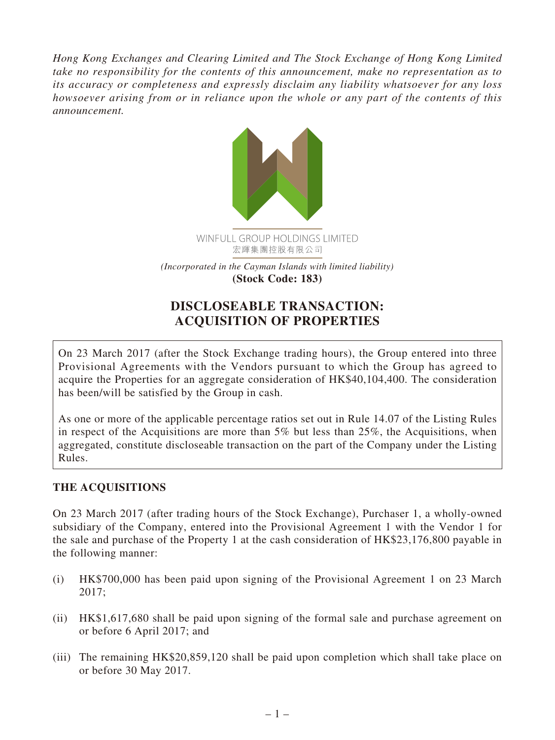*Hong Kong Exchanges and Clearing Limited and The Stock Exchange of Hong Kong Limited take no responsibility for the contents of this announcement, make no representation as to its accuracy or completeness and expressly disclaim any liability whatsoever for any loss howsoever arising from or in reliance upon the whole or any part of the contents of this announcement.*



# **DISCLOSEABLE TRANSACTION: ACQUISITION OF PROPERTIES**

On 23 March 2017 (after the Stock Exchange trading hours), the Group entered into three Provisional Agreements with the Vendors pursuant to which the Group has agreed to acquire the Properties for an aggregate consideration of HK\$40,104,400. The consideration has been/will be satisfied by the Group in cash.

As one or more of the applicable percentage ratios set out in Rule 14.07 of the Listing Rules in respect of the Acquisitions are more than 5% but less than 25%, the Acquisitions, when aggregated, constitute discloseable transaction on the part of the Company under the Listing Rules.

## **THE ACQUISITIONS**

On 23 March 2017 (after trading hours of the Stock Exchange), Purchaser 1, a wholly-owned subsidiary of the Company, entered into the Provisional Agreement 1 with the Vendor 1 for the sale and purchase of the Property 1 at the cash consideration of HK\$23,176,800 payable in the following manner:

- (i) HK\$700,000 has been paid upon signing of the Provisional Agreement 1 on 23 March 2017;
- (ii) HK\$1,617,680 shall be paid upon signing of the formal sale and purchase agreement on or before 6 April 2017; and
- (iii) The remaining HK\$20,859,120 shall be paid upon completion which shall take place on or before 30 May 2017.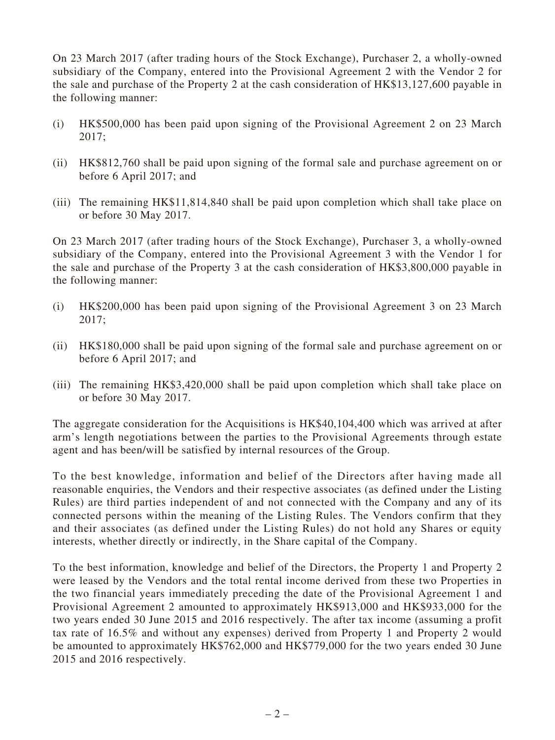On 23 March 2017 (after trading hours of the Stock Exchange), Purchaser 2, a wholly-owned subsidiary of the Company, entered into the Provisional Agreement 2 with the Vendor 2 for the sale and purchase of the Property 2 at the cash consideration of HK\$13,127,600 payable in the following manner:

- (i) HK\$500,000 has been paid upon signing of the Provisional Agreement 2 on 23 March 2017;
- (ii) HK\$812,760 shall be paid upon signing of the formal sale and purchase agreement on or before 6 April 2017; and
- (iii) The remaining HK\$11,814,840 shall be paid upon completion which shall take place on or before 30 May 2017.

On 23 March 2017 (after trading hours of the Stock Exchange), Purchaser 3, a wholly-owned subsidiary of the Company, entered into the Provisional Agreement 3 with the Vendor 1 for the sale and purchase of the Property 3 at the cash consideration of HK\$3,800,000 payable in the following manner:

- (i) HK\$200,000 has been paid upon signing of the Provisional Agreement 3 on 23 March 2017;
- (ii) HK\$180,000 shall be paid upon signing of the formal sale and purchase agreement on or before 6 April 2017; and
- (iii) The remaining HK\$3,420,000 shall be paid upon completion which shall take place on or before 30 May 2017.

The aggregate consideration for the Acquisitions is HK\$40,104,400 which was arrived at after arm's length negotiations between the parties to the Provisional Agreements through estate agent and has been/will be satisfied by internal resources of the Group.

To the best knowledge, information and belief of the Directors after having made all reasonable enquiries, the Vendors and their respective associates (as defined under the Listing Rules) are third parties independent of and not connected with the Company and any of its connected persons within the meaning of the Listing Rules. The Vendors confirm that they and their associates (as defined under the Listing Rules) do not hold any Shares or equity interests, whether directly or indirectly, in the Share capital of the Company.

To the best information, knowledge and belief of the Directors, the Property 1 and Property 2 were leased by the Vendors and the total rental income derived from these two Properties in the two financial years immediately preceding the date of the Provisional Agreement 1 and Provisional Agreement 2 amounted to approximately HK\$913,000 and HK\$933,000 for the two years ended 30 June 2015 and 2016 respectively. The after tax income (assuming a profit tax rate of 16.5% and without any expenses) derived from Property 1 and Property 2 would be amounted to approximately HK\$762,000 and HK\$779,000 for the two years ended 30 June 2015 and 2016 respectively.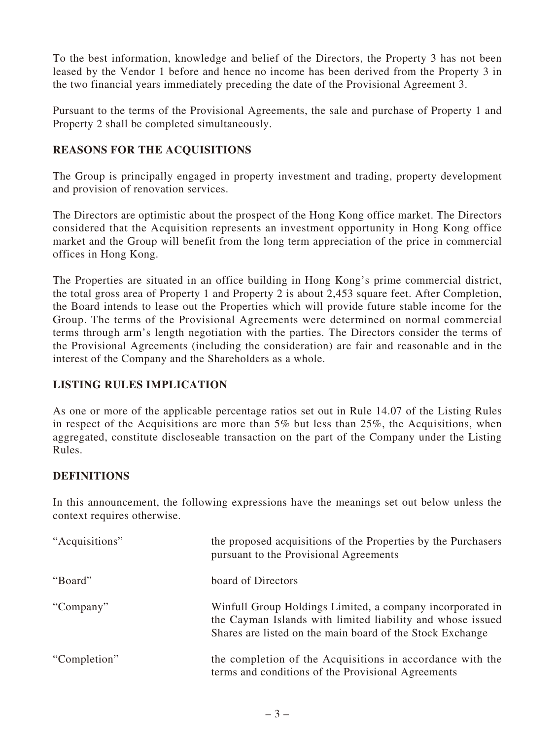To the best information, knowledge and belief of the Directors, the Property 3 has not been leased by the Vendor 1 before and hence no income has been derived from the Property 3 in the two financial years immediately preceding the date of the Provisional Agreement 3.

Pursuant to the terms of the Provisional Agreements, the sale and purchase of Property 1 and Property 2 shall be completed simultaneously.

## **REASONS FOR THE ACQUISITIONS**

The Group is principally engaged in property investment and trading, property development and provision of renovation services.

The Directors are optimistic about the prospect of the Hong Kong office market. The Directors considered that the Acquisition represents an investment opportunity in Hong Kong office market and the Group will benefit from the long term appreciation of the price in commercial offices in Hong Kong.

The Properties are situated in an office building in Hong Kong's prime commercial district, the total gross area of Property 1 and Property 2 is about 2,453 square feet. After Completion, the Board intends to lease out the Properties which will provide future stable income for the Group. The terms of the Provisional Agreements were determined on normal commercial terms through arm's length negotiation with the parties. The Directors consider the terms of the Provisional Agreements (including the consideration) are fair and reasonable and in the interest of the Company and the Shareholders as a whole.

## **LISTING RULES IMPLICATION**

As one or more of the applicable percentage ratios set out in Rule 14.07 of the Listing Rules in respect of the Acquisitions are more than 5% but less than 25%, the Acquisitions, when aggregated, constitute discloseable transaction on the part of the Company under the Listing Rules.

## **DEFINITIONS**

In this announcement, the following expressions have the meanings set out below unless the context requires otherwise.

| "Acquisitions" | the proposed acquisitions of the Properties by the Purchasers<br>pursuant to the Provisional Agreements                                                                              |
|----------------|--------------------------------------------------------------------------------------------------------------------------------------------------------------------------------------|
| "Board"        | board of Directors                                                                                                                                                                   |
| "Company"      | Winfull Group Holdings Limited, a company incorporated in<br>the Cayman Islands with limited liability and whose issued<br>Shares are listed on the main board of the Stock Exchange |
| "Completion"   | the completion of the Acquisitions in accordance with the<br>terms and conditions of the Provisional Agreements                                                                      |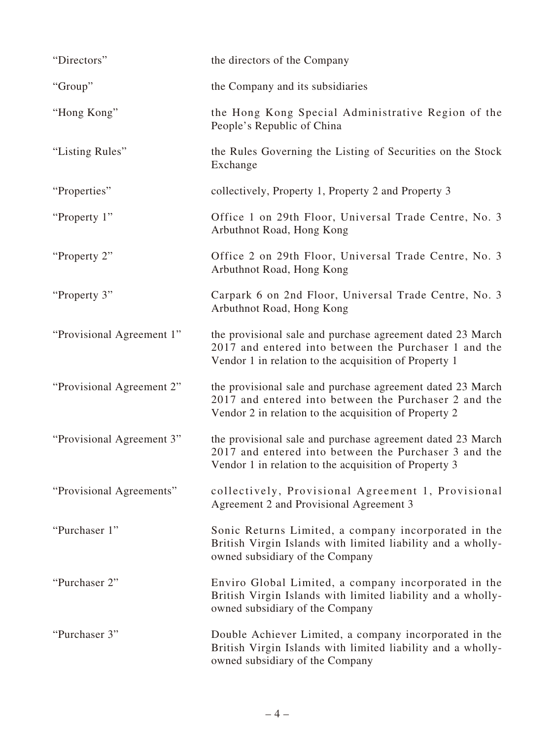| "Directors"               | the directors of the Company                                                                                                                                                 |
|---------------------------|------------------------------------------------------------------------------------------------------------------------------------------------------------------------------|
| "Group"                   | the Company and its subsidiaries                                                                                                                                             |
| "Hong Kong"               | the Hong Kong Special Administrative Region of the<br>People's Republic of China                                                                                             |
| "Listing Rules"           | the Rules Governing the Listing of Securities on the Stock<br>Exchange                                                                                                       |
| "Properties"              | collectively, Property 1, Property 2 and Property 3                                                                                                                          |
| "Property 1"              | Office 1 on 29th Floor, Universal Trade Centre, No. 3<br>Arbuthnot Road, Hong Kong                                                                                           |
| "Property 2"              | Office 2 on 29th Floor, Universal Trade Centre, No. 3<br>Arbuthnot Road, Hong Kong                                                                                           |
| "Property 3"              | Carpark 6 on 2nd Floor, Universal Trade Centre, No. 3<br>Arbuthnot Road, Hong Kong                                                                                           |
| "Provisional Agreement 1" | the provisional sale and purchase agreement dated 23 March<br>2017 and entered into between the Purchaser 1 and the<br>Vendor 1 in relation to the acquisition of Property 1 |
| "Provisional Agreement 2" | the provisional sale and purchase agreement dated 23 March<br>2017 and entered into between the Purchaser 2 and the<br>Vendor 2 in relation to the acquisition of Property 2 |
| "Provisional Agreement 3" | the provisional sale and purchase agreement dated 23 March<br>2017 and entered into between the Purchaser 3 and the<br>Vendor 1 in relation to the acquisition of Property 3 |
| "Provisional Agreements"  | collectively, Provisional Agreement 1, Provisional<br>Agreement 2 and Provisional Agreement 3                                                                                |
| "Purchaser 1"             | Sonic Returns Limited, a company incorporated in the<br>British Virgin Islands with limited liability and a wholly-<br>owned subsidiary of the Company                       |
| "Purchaser 2"             | Enviro Global Limited, a company incorporated in the<br>British Virgin Islands with limited liability and a wholly-<br>owned subsidiary of the Company                       |
| "Purchaser 3"             | Double Achiever Limited, a company incorporated in the<br>British Virgin Islands with limited liability and a wholly-<br>owned subsidiary of the Company                     |